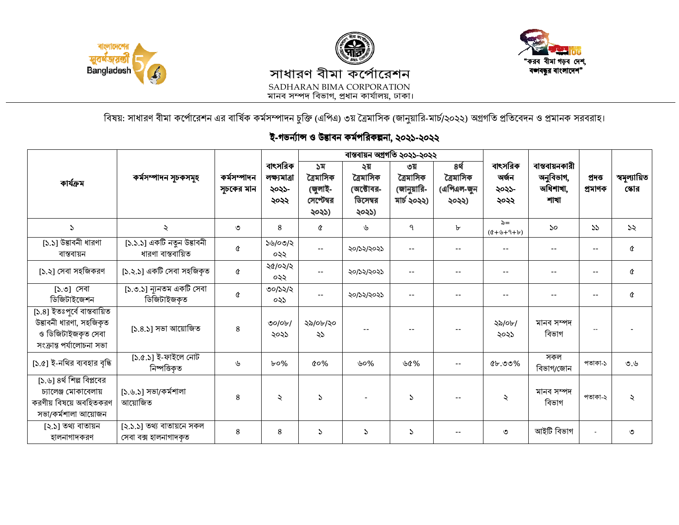





বিষয়: সাধারণ বীমা কর্পোরেশন এর বার্ষিক কর্মসম্পাদন চুক্তি (এপিএ) ৩য় ত্রৈমাসিক (জানুয়ারি-মার্চ/২০২২) অগ্রগতি প্রতিবেদন ও প্রমানক সরবরাহ।

## ই-গভৰ্ন্যান্স ও উদ্ভাবন কৰ্মপরিকল্পনা, ২০২১-২০২২

| কাৰ্যক্ৰম                                                                                                | কৰ্মসম্পাদন সূচকসমূহ                               | কৰ্মসম্পাদন<br>সূচকের মান | বাৎসরিক<br>লক্ষ্যমাত্ৰা<br>২০২১-<br>২০২২ |                                                   | বাস্তবায়ন অগ্ৰগতি ২০২১-২০২২                       |                                                |                                          | বাৎসরিক<br>অৰ্জন<br>২০২১-<br>২০২২ | বান্তবায়নকারী<br>অনুবিভাগ,<br>অধিশাখা,<br>শাখা | প্ৰদত্ত<br>প্ৰমাণক | স্বমূল্যায়িত<br>স্কোর |
|----------------------------------------------------------------------------------------------------------|----------------------------------------------------|---------------------------|------------------------------------------|---------------------------------------------------|----------------------------------------------------|------------------------------------------------|------------------------------------------|-----------------------------------|-------------------------------------------------|--------------------|------------------------|
|                                                                                                          |                                                    |                           |                                          | ১ম<br>ত্ৰৈমাসিক<br>(জুলাই-<br>সেপ্টেম্বর<br>২০২১) | ২য়<br>ত্ৰৈমাসিক<br>(অক্টোবর-<br>ডিসেম্বর<br>২০২১) | ৩য়<br>ত্ৰৈমাসিক<br>(জানুয়ারি-<br>মার্চ ২০২২) | ৪র্থ<br>ত্ৰৈমাসিক<br>(এপিএল-জুন<br>২০২২) |                                   |                                                 |                    |                        |
| $\mathcal{L}$                                                                                            | $\ddot{\sim}$                                      | ৩                         | 8                                        | Q                                                 | ৬                                                  | ٩                                              | ৮                                        | $\lambda =$<br>$(4+9+9+6)$        | 50                                              | 55                 | ১২                     |
| $[5.5]$ উদ্ভাবনী ধারণা<br>বাস্তবায়ন                                                                     | [১.১.১] একটি নতুন উদ্ভাবনী<br>ধারণা বাস্তবায়িত    | Q                         | ১৬/০৩/২<br>০২২                           | $\sim$ $\sim$                                     | ২০/১২/২০২১                                         | $\sim$ $\sim$                                  | $\overline{\phantom{a}}$                 | $- -$                             |                                                 | $\sim$ $-$         | Q                      |
| [১.২] সেবা সহজিকরণ                                                                                       | [১.২.১] একটি সেবা সহজিকৃত                          | Q                         | ২৫/০২/২<br>০২২                           | $\sim$ $\sim$                                     | ২০/১২/২০২১                                         |                                                | $-$                                      | $-1$                              |                                                 | $\sim$ $\sim$      | Q                      |
| [১.৩] সেবা<br>ডিজিটাইজেশন                                                                                | [১.৩.১] ন্যূনতম একটি সেবা<br>ডিজিটাইজকত            | Q                         | ৩০/১২/২<br>০২১                           | $\sim$ $\sim$                                     | ২০/১২/২০২১                                         |                                                | $\sim$ $\sim$                            |                                   |                                                 |                    | ¢                      |
| [১.৪] ইতঃপূৰ্বে বাস্তবায়িত<br>উদ্ভাবনী ধারণা, সহজিকৃত<br>ও ডিজিটাইজকৃত সেবা<br>সংক্ৰান্ত পৰ্যালোচনা সভা | [১.৪.১] সভা আয়োজিত                                | 8                         | $\mathcal{O}$<br>২০২১                    | ২৯/০৮/২০<br>২১                                    |                                                    |                                                |                                          | ২৯/০৮/<br>২০২১                    | মানব সম্পদ<br>বিভাগ                             | $\overline{a}$     |                        |
| [১.৫] ই-নথির ব্যবহার বৃদ্ধি                                                                              | [১.৫.১] ই-ফাইলে নোট<br>নিষ্পত্তিকত                 | ৬                         | $b$ 0%                                   | $\alpha$ %                                        | ৬০%                                                | ৬৫%                                            | $\sim$ $\sim$                            | $Q_{b}$ .00%                      | সকল<br>বিভাগ/জোন                                | পতাকা-১            | 0,6                    |
| [১.৬] ৪র্থ শিল্প বিপ্লবের<br>চ্যালেঞ্জ মোকাবেলায়<br>করণীয় বিষয়ে অবহিতকরণ<br>সভা/কর্মশালা আয়োজন       | [১.৬.১] সভা/কর্মশালা<br>আয়োজিত                    | 8                         | $\ddot{\sim}$                            | $\mathcal{L}$                                     |                                                    | S                                              |                                          | ২                                 | মানব সম্পদ<br>বিভাগ                             | পতাকা-২            | $\lambda$              |
| [২.১] তথ্য বাতায়ন<br>হালনাগাদকরণ                                                                        | [২.১.১] তথ্য বাতায়নে সকল<br>সেবা বক্স হালনাগাদকৃত | $\bf 8$                   | 8                                        | S.                                                | $\mathcal{L}$                                      | $\mathcal{L}$                                  | $\overline{\phantom{a}}$                 | ৩                                 | আইটি বিভাগ                                      |                    | ৩                      |